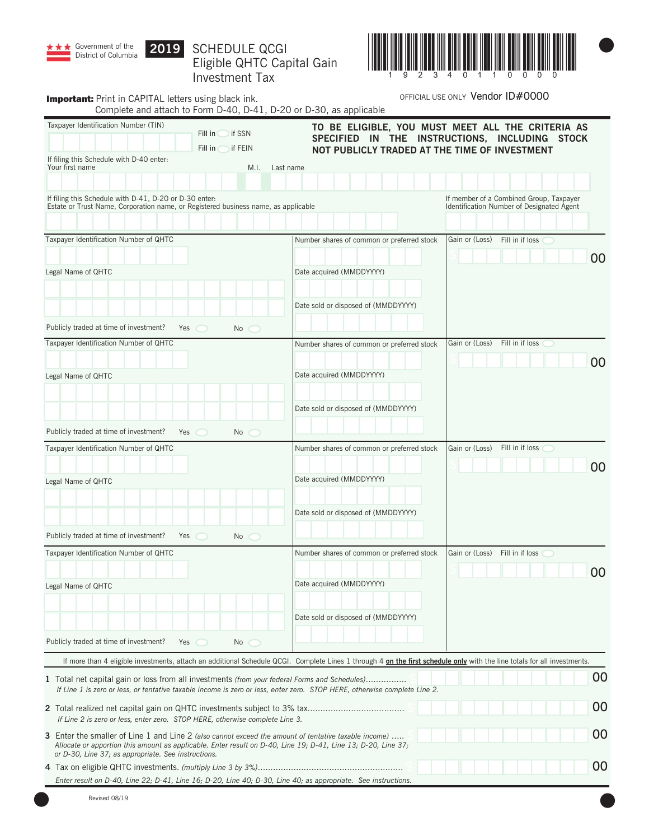

# SCHEDULE QCGI Eligible QHTC Capital Gain Investment Tax



| <b>Important:</b> Print in CAPITAL letters using black ink.                                                                                                                                                                                                                  |                                                                            | Complete and attach to Form D-40, D-41, D-20 or D-30, as applicable                                                                                                      | OFFICIAL USE ONLY Vendor ID#0000                                                     |
|------------------------------------------------------------------------------------------------------------------------------------------------------------------------------------------------------------------------------------------------------------------------------|----------------------------------------------------------------------------|--------------------------------------------------------------------------------------------------------------------------------------------------------------------------|--------------------------------------------------------------------------------------|
| Taxpayer Identification Number (TIN)                                                                                                                                                                                                                                         | Fill in $\bigcirc$ if SSN<br>Fill in $\subset$<br>$\triangleright$ if FEIN | TO BE ELIGIBLE, YOU MUST MEET ALL THE CRITERIA AS<br>SPECIFIED IN THE INSTRUCTIONS, INCLUDING STOCK<br>NOT PUBLICLY TRADED AT THE TIME OF INVESTMENT                     |                                                                                      |
| If filing this Schedule with D-40 enter:<br>Your first name                                                                                                                                                                                                                  | M.I.                                                                       | Last name                                                                                                                                                                |                                                                                      |
|                                                                                                                                                                                                                                                                              |                                                                            |                                                                                                                                                                          |                                                                                      |
| If filing this Schedule with D-41, D-20 or D-30 enter:<br>Estate or Trust Name, Corporation name, or Registered business name, as applicable                                                                                                                                 |                                                                            |                                                                                                                                                                          | If member of a Combined Group, Taxpayer<br>Identification Number of Designated Agent |
| Taxpayer Identification Number of QHTC                                                                                                                                                                                                                                       |                                                                            | Number shares of common or preferred stock                                                                                                                               | Gain or (Loss)<br>Fill in if loss                                                    |
|                                                                                                                                                                                                                                                                              |                                                                            |                                                                                                                                                                          | 00                                                                                   |
| Legal Name of QHTC                                                                                                                                                                                                                                                           |                                                                            | Date acquired (MMDDYYYY)                                                                                                                                                 |                                                                                      |
|                                                                                                                                                                                                                                                                              |                                                                            | Date sold or disposed of (MMDDYYYY)                                                                                                                                      |                                                                                      |
|                                                                                                                                                                                                                                                                              |                                                                            |                                                                                                                                                                          |                                                                                      |
| Publicly traded at time of investment?<br>Yes<br>Taxpayer Identification Number of QHTC                                                                                                                                                                                      | No                                                                         |                                                                                                                                                                          | Fill in if loss<br>Gain or (Loss)                                                    |
|                                                                                                                                                                                                                                                                              |                                                                            | Number shares of common or preferred stock                                                                                                                               |                                                                                      |
| Legal Name of QHTC                                                                                                                                                                                                                                                           |                                                                            | Date acquired (MMDDYYYY)                                                                                                                                                 | 00                                                                                   |
|                                                                                                                                                                                                                                                                              |                                                                            |                                                                                                                                                                          |                                                                                      |
|                                                                                                                                                                                                                                                                              |                                                                            | Date sold or disposed of (MMDDYYYY)                                                                                                                                      |                                                                                      |
|                                                                                                                                                                                                                                                                              |                                                                            |                                                                                                                                                                          |                                                                                      |
| Publicly traded at time of investment?<br>Yes                                                                                                                                                                                                                                | No                                                                         |                                                                                                                                                                          |                                                                                      |
| Taxpayer Identification Number of QHTC                                                                                                                                                                                                                                       |                                                                            | Number shares of common or preferred stock                                                                                                                               | Fill in if loss<br>Gain or (Loss)                                                    |
| Legal Name of QHTC                                                                                                                                                                                                                                                           |                                                                            | Date acquired (MMDDYYYY)                                                                                                                                                 | 00                                                                                   |
|                                                                                                                                                                                                                                                                              |                                                                            |                                                                                                                                                                          |                                                                                      |
|                                                                                                                                                                                                                                                                              |                                                                            | Date sold or disposed of (MMDDYYYY)                                                                                                                                      |                                                                                      |
|                                                                                                                                                                                                                                                                              |                                                                            |                                                                                                                                                                          |                                                                                      |
| Publicly traded at time of investment?<br>Yes                                                                                                                                                                                                                                | No<br>$\bigcirc$<br>C D                                                    |                                                                                                                                                                          |                                                                                      |
| Taxpayer Identification Number of QHTC                                                                                                                                                                                                                                       |                                                                            | Number shares of common or preferred stock                                                                                                                               | Fill in if loss<br>Gain or (Loss)                                                    |
|                                                                                                                                                                                                                                                                              |                                                                            | Date acquired (MMDDYYYY)                                                                                                                                                 | 00                                                                                   |
| Legal Name of QHTC                                                                                                                                                                                                                                                           |                                                                            |                                                                                                                                                                          |                                                                                      |
|                                                                                                                                                                                                                                                                              |                                                                            | Date sold or disposed of (MMDDYYYY)                                                                                                                                      |                                                                                      |
|                                                                                                                                                                                                                                                                              |                                                                            |                                                                                                                                                                          |                                                                                      |
| Publicly traded at time of investment?<br>Yes                                                                                                                                                                                                                                | No                                                                         |                                                                                                                                                                          |                                                                                      |
|                                                                                                                                                                                                                                                                              |                                                                            | If more than 4 eligible investments, attach an additional Schedule QCGI. Complete Lines 1 through 4 on the first schedule only with the line totals for all investments. |                                                                                      |
| 1 Total net capital gain or loss from all investments <i>(from your federal Forms and Schedules)</i>                                                                                                                                                                         |                                                                            | If Line 1 is zero or less, or tentative taxable income is zero or less, enter zero. STOP HERE, otherwise complete Line 2.                                                | 00                                                                                   |
| If Line 2 is zero or less, enter zero. STOP HERE, otherwise complete Line 3.                                                                                                                                                                                                 |                                                                            |                                                                                                                                                                          | 00                                                                                   |
| 3 Enter the smaller of Line 1 and Line 2 (also cannot exceed the amount of tentative taxable income)<br>Allocate or apportion this amount as applicable. Enter result on D-40, Line 19; D-41, Line 13; D-20, Line 37;<br>or D-30, Line 37; as appropriate. See instructions. |                                                                            |                                                                                                                                                                          | 00                                                                                   |
|                                                                                                                                                                                                                                                                              |                                                                            |                                                                                                                                                                          | 00                                                                                   |
| Enter result on D-40, Line 22; D-41, Line 16; D-20, Line 40; D-30, Line 40; as appropriate. See instructions.                                                                                                                                                                |                                                                            |                                                                                                                                                                          |                                                                                      |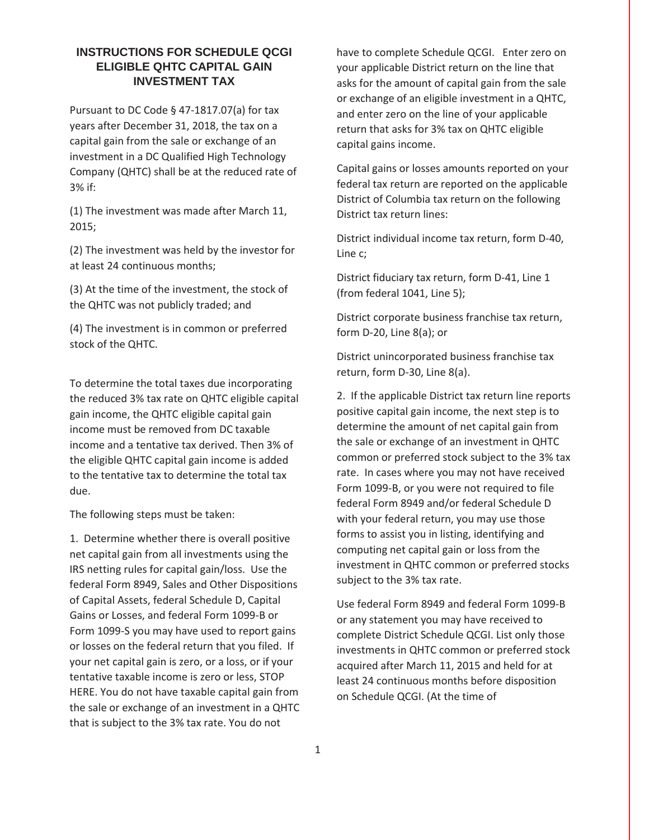## **INSTRUCTIONS FOR SCHEDULE QCGI ELIGIBLE QHTC CAPITAL GAIN INVESTMENT TAX**

Pursuant to DC Code § 47-1817.07(a) for tax years after December 31, 2018, the tax on a capital gain from the sale or exchange of an investment in a DC Qualified High Technology Company (QHTC) shall be at the reduced rate of 3% if:

(1) The investment was made after March 11, 2015;

(2) The investment was held by the investor for at least 24 continuous months;

(3) At the time of the investment, the stock of the QHTC was not publicly traded; and

(4) The investment is in common or preferred stock of the QHTC.

To determine the total taxes due incorporating the reduced 3% tax rate on QHTC eligible capital gain income, the QHTC eligible capital gain income must be removed from DC taxable income and a tentative tax derived. Then 3% of the eligible QHTC capital gain income is added to the tentative tax to determine the total tax due.

The following steps must be taken:

1. Determine whether there is overall positive net capital gain from all investments using the IRS netting rules for capital gain/loss. Use the federal Form 8949, Sales and Other Dispositions of Capital Assets, federal Schedule D, Capital Gains or Losses, and federal Form 1099-B or Form 1099-S you may have used to report gains or losses on the federal return that you filed. If your net capital gain is zero, or a loss, or if your tentative taxable income is zero or less, STOP HERE. You do not have taxable capital gain from the sale or exchange of an investment in a  $QHTC$ that is subject to the 3% tax rate. You do not

have to complete Schedule QCGI. Enter zero on your applicable District return on the line that asks for the amount of capital gain from the sale or exchange of an eligible investment in a QHTC, and enter zero on the line of your applicable return that asks for 3% tax on QHTC eligible capital gains income.

Capital gains or losses amounts reported on your federal tax return are reported on the applicable District of Columbia tax return on the following District tax return lines:

District individual income tax return, form D-40, Line c;

District fiduciary tax return, form D-41, Line 1  $(from federal 1041, Line 5);$ 

District corporate business franchise tax return, form D-20, Line 8(a); or

District unincorporated business franchise tax return, form D-30, Line 8(a).

2. If the applicable District tax return line reports positive capital gain income, the next step is to determine the amount of net capital gain from the sale or exchange of an investment in QHTC common or preferred stock subject to the 3% tax rate. In cases where you may not have received Form 1099-B, or you were not required to file federal Form 8949 and/or federal Schedule D with your federal return, you may use those forms to assist you in listing, identifying and computing net capital gain or loss from the investment in QHTC common or preferred stocks subject to the 3% tax rate.

Use federal Form 8949 and federal Form 1099-B or any statement you may have received to complete District Schedule QCGI. List only those investments in QHTC common or preferred stock acquired after March 11, 2015 and held for at least 24 continuous months before disposition on Schedule QCGI. (At the time of